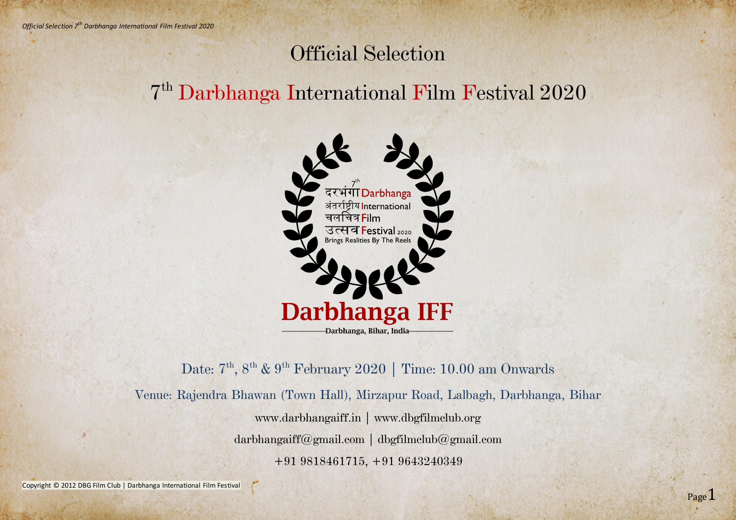Copyright © 2012 DBG Film Club | Darbhanga International Film Festival



# Official Selection 7 th Darbhanga International Film Festival 2020



Date:  $7<sup>th</sup>$ ,  $8<sup>th</sup>$  &  $9<sup>th</sup>$  February 2020 | Time: 10.00 am Onwards Venue: Rajendra Bhawan (Town Hall), Mirzapur Road, Lalbagh, Darbhanga, Bihar www.darbhangaiff.in | www.dbgfilmclub.org darbhangaiff@gmail.com | dbgfilmclub@gmail.com +91 9818461715, +91 9643240349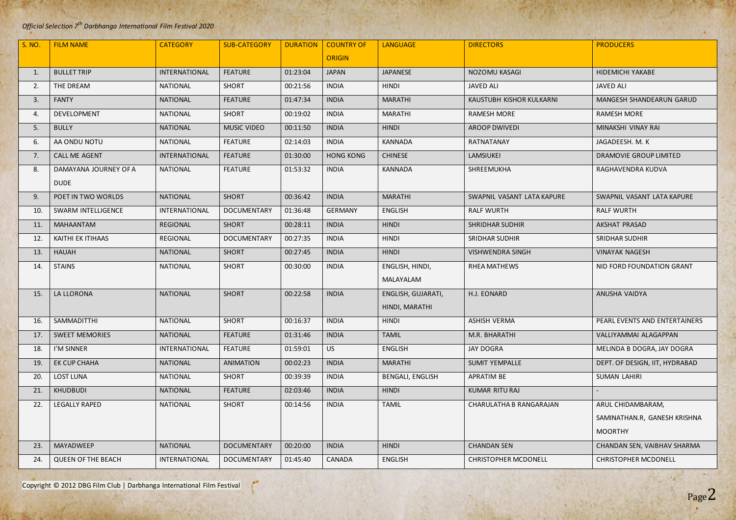#### *Official Selection 7 th Darbhanga International Film Festival 2020*

Copyright © 2012 DBG Film Club | Darbhanga International Film Festival

 $\epsilon$ 

Page2

| S. NO. | <b>FILM NAME</b>                     | <b>CATEGORY</b>      | <b>SUB-CATEGORY</b> | <b>DURATION</b> | <b>COUNTRY OF</b> | <b>LANGUAGE</b>                      | <b>DIRECTORS</b>            | <b>PRODUCERS</b>                                                    |
|--------|--------------------------------------|----------------------|---------------------|-----------------|-------------------|--------------------------------------|-----------------------------|---------------------------------------------------------------------|
|        |                                      |                      |                     |                 | <b>ORIGIN</b>     |                                      |                             |                                                                     |
| 1.     | <b>BULLET TRIP</b>                   | <b>INTERNATIONAL</b> | <b>FEATURE</b>      | 01:23:04        | <b>JAPAN</b>      | <b>JAPANESE</b>                      | <b>NOZOMU KASAGI</b>        | <b>HIDEMICHI YAKABE</b>                                             |
| 2.     | THE DREAM                            | <b>NATIONAL</b>      | <b>SHORT</b>        | 00:21:56        | <b>INDIA</b>      | <b>HINDI</b>                         | <b>JAVED ALI</b>            | <b>JAVED ALI</b>                                                    |
| 3.     | <b>FANTY</b>                         | <b>NATIONAL</b>      | <b>FEATURE</b>      | 01:47:34        | <b>INDIA</b>      | <b>MARATHI</b>                       | KAUSTUBH KISHOR KULKARNI    | <b>MANGESH SHANDEARUN GARUD</b>                                     |
| 4.     | DEVELOPMENT                          | <b>NATIONAL</b>      | <b>SHORT</b>        | 00:19:02        | <b>INDIA</b>      | <b>MARATHI</b>                       | <b>RAMESH MORE</b>          | <b>RAMESH MORE</b>                                                  |
| 5.     | <b>BULLY</b>                         | <b>NATIONAL</b>      | <b>MUSIC VIDEO</b>  | 00:11:50        | <b>INDIA</b>      | <b>HINDI</b>                         | <b>AROOP DWIVEDI</b>        | MINAKSHI VINAY RAI                                                  |
| 6.     | AA ONDU NOTU                         | <b>NATIONAL</b>      | <b>FEATURE</b>      | 02:14:03        | <b>INDIA</b>      | <b>KANNADA</b>                       | RATNATANAY                  | JAGADEESH. M. K                                                     |
| 7.     | <b>CALL ME AGENT</b>                 | <b>INTERNATIONAL</b> | <b>FEATURE</b>      | 01:30:00        | <b>HONG KONG</b>  | <b>CHINESE</b>                       | <b>LAMSIUKEI</b>            | <b>DRAMOVIE GROUP LIMITED</b>                                       |
| 8.     | DAMAYANA JOURNEY OF A<br><b>DUDE</b> | <b>NATIONAL</b>      | <b>FEATURE</b>      | 01:53:32        | <b>INDIA</b>      | <b>KANNADA</b>                       | SHREEMUKHA                  | RAGHAVENDRA KUDVA                                                   |
| 9.     | POET IN TWO WORLDS                   | <b>NATIONAL</b>      | <b>SHORT</b>        | 00:36:42        | <b>INDIA</b>      | <b>MARATHI</b>                       | SWAPNIL VASANT LATA KAPURE  | SWAPNIL VASANT LATA KAPURE                                          |
| 10.    | <b>SWARM INTELLIGENCE</b>            | <b>INTERNATIONAL</b> | <b>DOCUMENTARY</b>  | 01:36:48        | <b>GERMANY</b>    | <b>ENGLISH</b>                       | <b>RALF WURTH</b>           | <b>RALF WURTH</b>                                                   |
| 11.    | <b>MAHAANTAM</b>                     | <b>REGIONAL</b>      | <b>SHORT</b>        | 00:28:11        | <b>INDIA</b>      | <b>HINDI</b>                         | <b>SHRIDHAR SUDHIR</b>      | AKSHAT PRASAD                                                       |
| 12.    | <b>KAITHI EK ITIHAAS</b>             | <b>REGIONAL</b>      | <b>DOCUMENTARY</b>  | 00:27:35        | <b>INDIA</b>      | <b>HINDI</b>                         | <b>SRIDHAR SUDHIR</b>       | <b>SRIDHAR SUDHIR</b>                                               |
| 13.    | <b>HAUAH</b>                         | <b>NATIONAL</b>      | <b>SHORT</b>        | 00:27:45        | <b>INDIA</b>      | <b>HINDI</b>                         | <b>VISHWENDRA SINGH</b>     | <b>VINAYAK NAGESH</b>                                               |
| 14.    | <b>STAINS</b>                        | <b>NATIONAL</b>      | <b>SHORT</b>        | 00:30:00        | <b>INDIA</b>      | ENGLISH, HINDI,<br>MALAYALAM         | <b>RHEA MATHEWS</b>         | NID FORD FOUNDATION GRANT                                           |
| 15.    | <b>LA LLORONA</b>                    | <b>NATIONAL</b>      | <b>SHORT</b>        | 00:22:58        | <b>INDIA</b>      | ENGLISH, GUJARATI,<br>HINDI, MARATHI | H.J. EONARD                 | <b>ANUSHA VAIDYA</b>                                                |
| 16.    | SAMMADITTHI                          | <b>NATIONAL</b>      | <b>SHORT</b>        | 00:16:37        | <b>INDIA</b>      | <b>HINDI</b>                         | <b>ASHISH VERMA</b>         | PEARL EVENTS AND ENTERTAINERS                                       |
| 17.    | <b>SWEET MEMORIES</b>                | <b>NATIONAL</b>      | <b>FEATURE</b>      | 01:31:46        | <b>INDIA</b>      | <b>TAMIL</b>                         | M.R. BHARATHI               | VALLIYAMMAI ALAGAPPAN                                               |
| 18.    | I'M SINNER                           | INTERNATIONAL        | <b>FEATURE</b>      | 01:59:01        | <b>US</b>         | <b>ENGLISH</b>                       | <b>JAY DOGRA</b>            | MELINDA B DOGRA, JAY DOGRA                                          |
| 19.    | <b>EK CUP CHAHA</b>                  | <b>NATIONAL</b>      | <b>ANIMATION</b>    | 00:02:23        | <b>INDIA</b>      | <b>MARATHI</b>                       | <b>SUMIT YEMPALLE</b>       | DEPT. OF DESIGN, IIT, HYDRABAD                                      |
| 20.    | <b>LOST LUNA</b>                     | <b>NATIONAL</b>      | <b>SHORT</b>        | 00:39:39        | <b>INDIA</b>      | <b>BENGALI, ENGLISH</b>              | APRATIM BE                  | <b>SUMAN LAHIRI</b>                                                 |
| 21.    | <b>KHUDBUDI</b>                      | <b>NATIONAL</b>      | <b>FEATURE</b>      | 02:03:46        | <b>INDIA</b>      | <b>HINDI</b>                         | <b>KUMAR RITU RAJ</b>       |                                                                     |
| 22.    | <b>LEGALLY RAPED</b>                 | <b>NATIONAL</b>      | <b>SHORT</b>        | 00:14:56        | <b>INDIA</b>      | <b>TAMIL</b>                         | CHARULATHA B RANGARAJAN     | ARUL CHIDAMBARAM,<br>SAMINATHAN.R, GANESH KRISHNA<br><b>MOORTHY</b> |
| 23.    | MAYADWEEP                            | <b>NATIONAL</b>      | <b>DOCUMENTARY</b>  | 00:20:00        | <b>INDIA</b>      | <b>HINDI</b>                         | <b>CHANDAN SEN</b>          | CHANDAN SEN, VAIBHAV SHARMA                                         |
| 24.    | <b>QUEEN OF THE BEACH</b>            | INTERNATIONAL        | <b>DOCUMENTARY</b>  | 01:45:40        | CANADA            | <b>ENGLISH</b>                       | <b>CHRISTOPHER MCDONELL</b> | <b>CHRISTOPHER MCDONELL</b>                                         |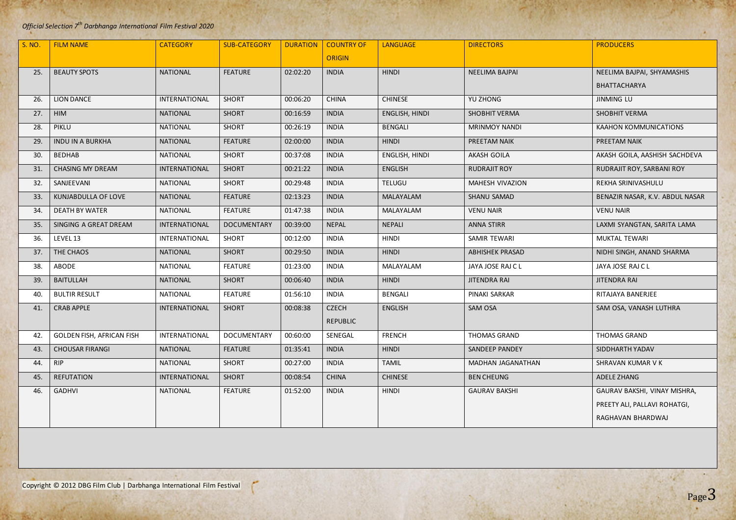#### *Official Selection 7 th Darbhanga International Film Festival 2020*

r



|        | $\epsilon$                       |                      |                     |                 |                   |                       |                        |                                 |
|--------|----------------------------------|----------------------|---------------------|-----------------|-------------------|-----------------------|------------------------|---------------------------------|
| S. NO. | <b>FILM NAME</b>                 | <b>CATEGORY</b>      | <b>SUB-CATEGORY</b> | <b>DURATION</b> | <b>COUNTRY OF</b> | <b>LANGUAGE</b>       | <b>DIRECTORS</b>       | <b>PRODUCERS</b>                |
|        |                                  |                      |                     |                 | <b>ORIGIN</b>     |                       |                        |                                 |
| 25.    | <b>BEAUTY SPOTS</b>              | <b>NATIONAL</b>      | <b>FEATURE</b>      | 02:02:20        | <b>INDIA</b>      | <b>HINDI</b>          | <b>NEELIMA BAJPAI</b>  | NEELIMA BAJPAI, SHYAMASHIS      |
|        |                                  |                      |                     |                 |                   |                       |                        | BHATTACHARYA                    |
| 26.    | <b>LION DANCE</b>                | INTERNATIONAL        | <b>SHORT</b>        | 00:06:20        | <b>CHINA</b>      | <b>CHINESE</b>        | <b>YU ZHONG</b>        | <b>JINMING LU</b>               |
| 27.    | HIM                              | <b>NATIONAL</b>      | <b>SHORT</b>        | 00:16:59        | <b>INDIA</b>      | <b>ENGLISH, HINDI</b> | <b>SHOBHIT VERMA</b>   | <b>SHOBHIT VERMA</b>            |
| 28.    | PIKLU                            | <b>NATIONAL</b>      | <b>SHORT</b>        | 00:26:19        | <b>INDIA</b>      | <b>BENGALI</b>        | <b>MRINMOY NANDI</b>   | <b>KAAHON KOMMUNICATIONS</b>    |
| 29.    | <b>INDU IN A BURKHA</b>          | <b>NATIONAL</b>      | <b>FEATURE</b>      | 02:00:00        | <b>INDIA</b>      | <b>HINDI</b>          | PREETAM NAIK           | PREETAM NAIK                    |
| 30.    | <b>BEDHAB</b>                    | <b>NATIONAL</b>      | <b>SHORT</b>        | 00:37:08        | <b>INDIA</b>      | ENGLISH, HINDI        | <b>AKASH GOILA</b>     | AKASH GOILA, AASHISH SACHDEVA   |
| 31.    | <b>CHASING MY DREAM</b>          | <b>INTERNATIONAL</b> | <b>SHORT</b>        | 00:21:22        | <b>INDIA</b>      | <b>ENGLISH</b>        | <b>RUDRAJIT ROY</b>    | RUDRAJIT ROY, SARBANI ROY       |
| 32.    | SANJEEVANI                       | <b>NATIONAL</b>      | <b>SHORT</b>        | 00:29:48        | <b>INDIA</b>      | <b>TELUGU</b>         | <b>MAHESH VIVAZION</b> | REKHA SRINIVASHULU              |
| 33.    | KUNJABDULLA OF LOVE              | <b>NATIONAL</b>      | <b>FEATURE</b>      | 02:13:23        | <b>INDIA</b>      | <b>MALAYALAM</b>      | SHANU SAMAD            | BENAZIR NASAR, K.V. ABDUL NASAR |
| 34.    | <b>DEATH BY WATER</b>            | <b>NATIONAL</b>      | <b>FEATURE</b>      | 01:47:38        | <b>INDIA</b>      | MALAYALAM             | <b>VENU NAIR</b>       | <b>VENU NAIR</b>                |
| 35.    | SINGING A GREAT DREAM            | INTERNATIONAL        | <b>DOCUMENTARY</b>  | 00:39:00        | <b>NEPAL</b>      | <b>NEPALI</b>         | <b>ANNA STIRR</b>      | LAXMI SYANGTAN, SARITA LAMA     |
| 36.    | LEVEL 13                         | INTERNATIONAL        | <b>SHORT</b>        | 00:12:00        | <b>INDIA</b>      | <b>HINDI</b>          | SAMIR TEWARI           | <b>MUKTAL TEWARI</b>            |
| 37.    | THE CHAOS                        | <b>NATIONAL</b>      | <b>SHORT</b>        | 00:29:50        | <b>INDIA</b>      | <b>HINDI</b>          | <b>ABHISHEK PRASAD</b> | NIDHI SINGH, ANAND SHARMA       |
| 38.    | <b>ABODE</b>                     | <b>NATIONAL</b>      | <b>FEATURE</b>      | 01:23:00        | <b>INDIA</b>      | MALAYALAM             | JAYA JOSE RAJ C L      | JAYA JOSE RAJ C L               |
| 39.    | <b>BAITULLAH</b>                 | <b>NATIONAL</b>      | <b>SHORT</b>        | 00:06:40        | <b>INDIA</b>      | <b>HINDI</b>          | <b>JITENDRA RAI</b>    | <b>JITENDRA RAI</b>             |
| 40.    | <b>BULTIR RESULT</b>             | <b>NATIONAL</b>      | <b>FEATURE</b>      | 01:56:10        | <b>INDIA</b>      | <b>BENGALI</b>        | PINAKI SARKAR          | RITAJAYA BANERJEE               |
| 41.    | <b>CRAB APPLE</b>                | INTERNATIONAL        | <b>SHORT</b>        | 00:08:38        | <b>CZECH</b>      | <b>ENGLISH</b>        | SAM OSA                | SAM OSA, VANASH LUTHRA          |
|        |                                  |                      |                     |                 | <b>REPUBLIC</b>   |                       |                        |                                 |
| 42.    | <b>GOLDEN FISH, AFRICAN FISH</b> | INTERNATIONAL        | <b>DOCUMENTARY</b>  | 00:60:00        | SENEGAL           | <b>FRENCH</b>         | <b>THOMAS GRAND</b>    | <b>THOMAS GRAND</b>             |
| 43.    | <b>CHOUSAR FIRANGI</b>           | <b>NATIONAL</b>      | <b>FEATURE</b>      | 01:35:41        | <b>INDIA</b>      | <b>HINDI</b>          | SANDEEP PANDEY         | SIDDHARTH YADAV                 |
| 44.    | <b>RIP</b>                       | <b>NATIONAL</b>      | <b>SHORT</b>        | 00:27:00        | <b>INDIA</b>      | <b>TAMIL</b>          | MADHAN JAGANATHAN      | SHRAVAN KUMAR V K               |
| 45.    | <b>REFUTATION</b>                | <b>INTERNATIONAL</b> | <b>SHORT</b>        | 00:08:54        | <b>CHINA</b>      | <b>CHINESE</b>        | <b>BEN CHEUNG</b>      | <b>ADELE ZHANG</b>              |
| 46.    | <b>GADHVI</b>                    | <b>NATIONAL</b>      | <b>FEATURE</b>      | 01:52:00        | <b>INDIA</b>      | <b>HINDI</b>          | <b>GAURAV BAKSHI</b>   | GAURAV BAKSHI, VINAY MISHRA,    |
|        |                                  |                      |                     |                 |                   |                       |                        | PREETY ALI, PALLAVI ROHATGI,    |
|        |                                  |                      |                     |                 |                   |                       |                        | RAGHAVAN BHARDWAJ               |